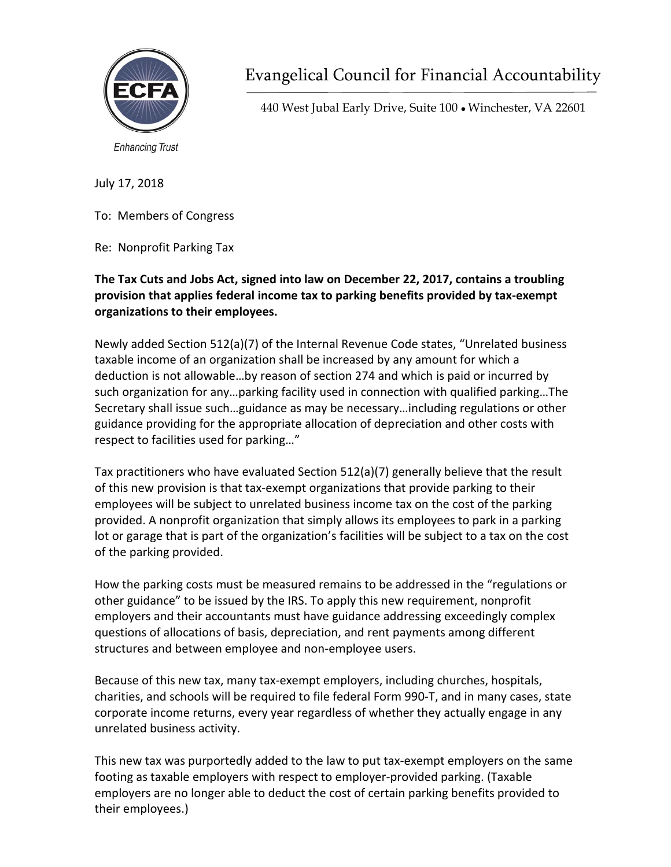

**Enhancing Trust** 

Evangelical Council for Financial Accountability

440 West Jubal Early Drive, Suite 100 ● Winchester, VA 22601

July 17, 2018

To: Members of Congress

Re: Nonprofit Parking Tax

## **The Tax Cuts and Jobs Act, signed into law on December 22, 2017, contains a troubling provision that applies federal income tax to parking benefits provided by tax‐exempt organizations to their employees.**

Newly added Section 512(a)(7) of the Internal Revenue Code states, "Unrelated business taxable income of an organization shall be increased by any amount for which a deduction is not allowable…by reason of section 274 and which is paid or incurred by such organization for any…parking facility used in connection with qualified parking…The Secretary shall issue such…guidance as may be necessary…including regulations or other guidance providing for the appropriate allocation of depreciation and other costs with respect to facilities used for parking…"

Tax practitioners who have evaluated Section 512(a)(7) generally believe that the result of this new provision is that tax‐exempt organizations that provide parking to their employees will be subject to unrelated business income tax on the cost of the parking provided. A nonprofit organization that simply allows its employees to park in a parking lot or garage that is part of the organization's facilities will be subject to a tax on the cost of the parking provided.

How the parking costs must be measured remains to be addressed in the "regulations or other guidance" to be issued by the IRS. To apply this new requirement, nonprofit employers and their accountants must have guidance addressing exceedingly complex questions of allocations of basis, depreciation, and rent payments among different structures and between employee and non‐employee users.

Because of this new tax, many tax‐exempt employers, including churches, hospitals, charities, and schools will be required to file federal Form 990‐T, and in many cases, state corporate income returns, every year regardless of whether they actually engage in any unrelated business activity.

This new tax was purportedly added to the law to put tax‐exempt employers on the same footing as taxable employers with respect to employer‐provided parking. (Taxable employers are no longer able to deduct the cost of certain parking benefits provided to their employees.)